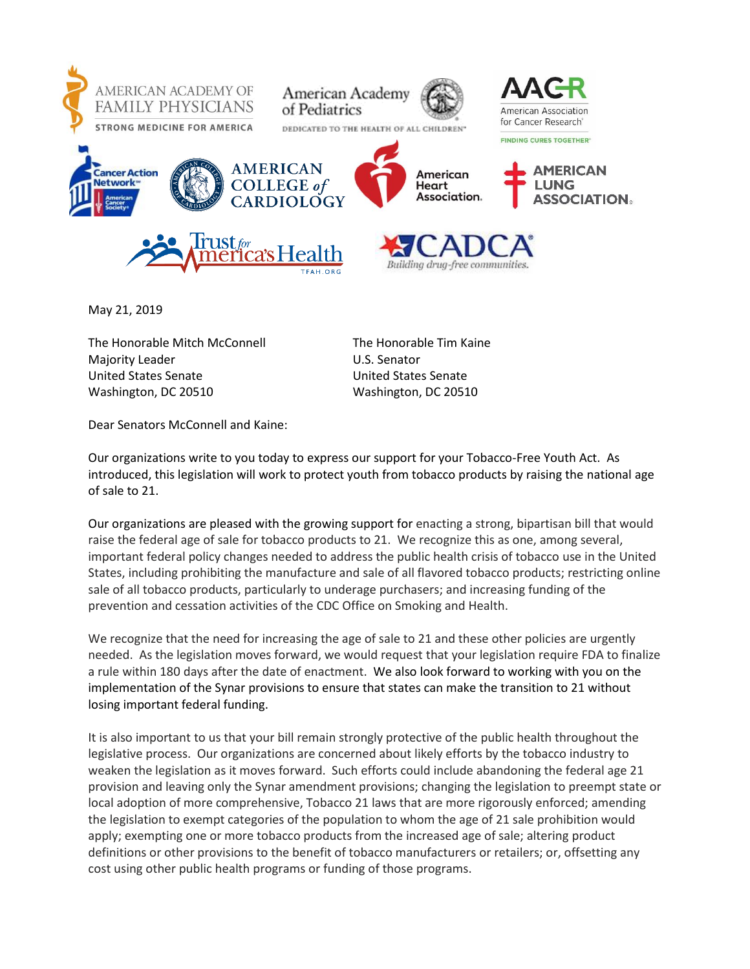

May 21, 2019

The Honorable Mitch McConnell The Honorable Tim Kaine Majority Leader National Control of Majority Leader National Control Control Control Control Control Control Co United States Senate United States Senate Washington, DC 20510 Washington, DC 20510

Dear Senators McConnell and Kaine:

Our organizations write to you today to express our support for your Tobacco-Free Youth Act. As introduced, this legislation will work to protect youth from tobacco products by raising the national age of sale to 21.

Our organizations are pleased with the growing support for enacting a strong, bipartisan bill that would raise the federal age of sale for tobacco products to 21. We recognize this as one, among several, important federal policy changes needed to address the public health crisis of tobacco use in the United States, including prohibiting the manufacture and sale of all flavored tobacco products; restricting online sale of all tobacco products, particularly to underage purchasers; and increasing funding of the prevention and cessation activities of the CDC Office on Smoking and Health.

We recognize that the need for increasing the age of sale to 21 and these other policies are urgently needed. As the legislation moves forward, we would request that your legislation require FDA to finalize a rule within 180 days after the date of enactment. We also look forward to working with you on the implementation of the Synar provisions to ensure that states can make the transition to 21 without losing important federal funding.

It is also important to us that your bill remain strongly protective of the public health throughout the legislative process. Our organizations are concerned about likely efforts by the tobacco industry to weaken the legislation as it moves forward. Such efforts could include abandoning the federal age 21 provision and leaving only the Synar amendment provisions; changing the legislation to preempt state or local adoption of more comprehensive, Tobacco 21 laws that are more rigorously enforced; amending the legislation to exempt categories of the population to whom the age of 21 sale prohibition would apply; exempting one or more tobacco products from the increased age of sale; altering product definitions or other provisions to the benefit of tobacco manufacturers or retailers; or, offsetting any cost using other public health programs or funding of those programs.